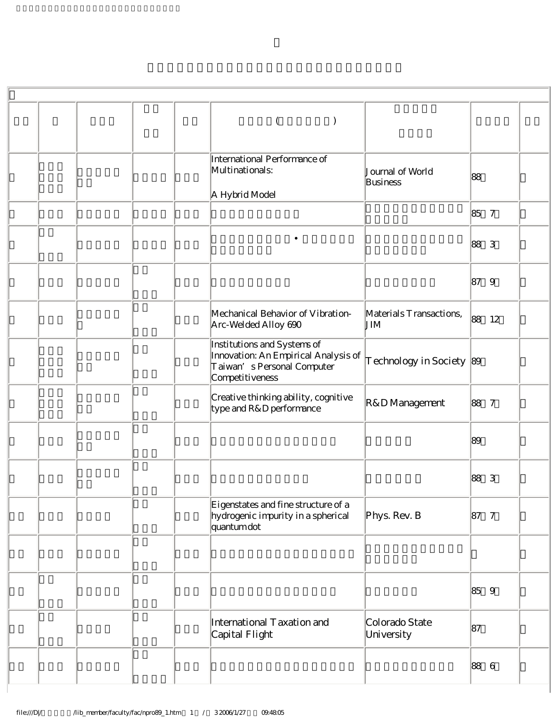|  |  | International Performance of<br>Multinationals:<br>A Hybrid Model                                                    | Journal of World<br>Business   | 88                   |  |
|--|--|----------------------------------------------------------------------------------------------------------------------|--------------------------------|----------------------|--|
|  |  |                                                                                                                      |                                | 85 7                 |  |
|  |  |                                                                                                                      |                                | 88<br>3              |  |
|  |  |                                                                                                                      |                                | 87<br>9              |  |
|  |  | Mechanical Behavior of Vibration-<br>Arc-Welded Alloy 690                                                            | Materials Transactions,<br>JIM | 88 12                |  |
|  |  | Institutions and Systems of<br>Innovation: An Empirical Analysis of<br>Taiwan's Personal Computer<br>Competitiveness | Technology in Society 89       |                      |  |
|  |  | Creative thinking ability, cognitive<br>type and R&D performance                                                     | R&D Management                 | 88<br>$\overline{7}$ |  |
|  |  |                                                                                                                      |                                | 89                   |  |
|  |  |                                                                                                                      |                                | 3<br>88              |  |
|  |  | Eigenstates and fine structure of a<br>hydrogenic impurity in a spherical<br>quantum dot                             | Phys. Rev. B                   | 87 7                 |  |
|  |  |                                                                                                                      |                                |                      |  |
|  |  |                                                                                                                      |                                | 85 9                 |  |
|  |  | International Taxation and<br>Capital Flight                                                                         | Colorado State<br>University   | 87                   |  |
|  |  |                                                                                                                      |                                | 88<br>6              |  |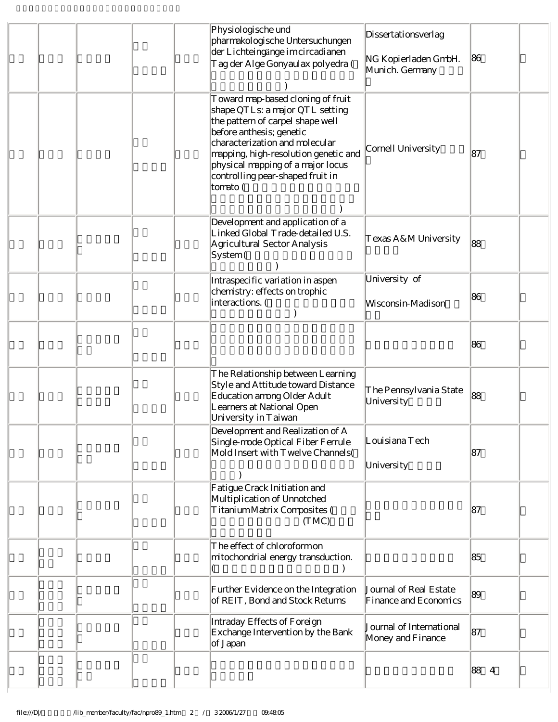|  | Physiologische und<br>pharmakologische Untersuchungen<br>der Lichteingänge im circadianen<br>Tag der Alge Gonyaulax polyedra (                                                                                                                                                                      | Dissertationsverlag<br>NG Kopierladen GmbH.<br>Munich. Germany | 86   |
|--|-----------------------------------------------------------------------------------------------------------------------------------------------------------------------------------------------------------------------------------------------------------------------------------------------------|----------------------------------------------------------------|------|
|  | Toward map-based cloning of fruit<br>shape QTLs: a major QTL setting<br>the pattern of carpel shape well<br>before anthesis; genetic<br>characterization and molecular<br>mapping, high-resolution genetic and<br>physical mapping of a major locus<br>controlling pear-shaped fruit in<br>tomato ( | Cornell University                                             | 87   |
|  | Development and application of a<br>Linked Global Trade-detailed U.S.<br>Agricultural Sector Analysis<br>System (                                                                                                                                                                                   | Texas A&M University                                           | 88   |
|  | Intraspecific variation in aspen<br>chemistry: effects on trophic<br>interactions. (                                                                                                                                                                                                                | University of<br>Wisconsin-Madison                             | 86   |
|  |                                                                                                                                                                                                                                                                                                     |                                                                | 86   |
|  | The Relationship between Learning<br>Style and Attitude toward Distance<br>Education among Older Adult<br>Learners at National Open<br>University in Taiwan                                                                                                                                         | The Pennsylvania State<br>University                           | 88   |
|  | Development and Realization of A<br>Single-mode Optical Fiber Ferrule<br>Mold Insert with T welve Channels(                                                                                                                                                                                         | Louisiana Tech<br>University                                   | 87   |
|  | Fatigue Crack Initiation and<br>Multiplication of Unnotched<br>Titanium Matrix Composites (<br>(TMC)                                                                                                                                                                                                |                                                                | 87   |
|  | The effect of chloroformon<br>mitochondrial energy transduction.                                                                                                                                                                                                                                    |                                                                | 85   |
|  | Further Evidence on the Integration<br>of REIT, Bond and Stock Returns                                                                                                                                                                                                                              | Journal of Real Estate<br>Finance and Economics                | 89   |
|  | Intraday Effects of Foreign<br>Exchange Intervention by the Bank<br>of Japan                                                                                                                                                                                                                        | Journal of International<br>Money and Finance                  | 87   |
|  |                                                                                                                                                                                                                                                                                                     |                                                                | 88 4 |